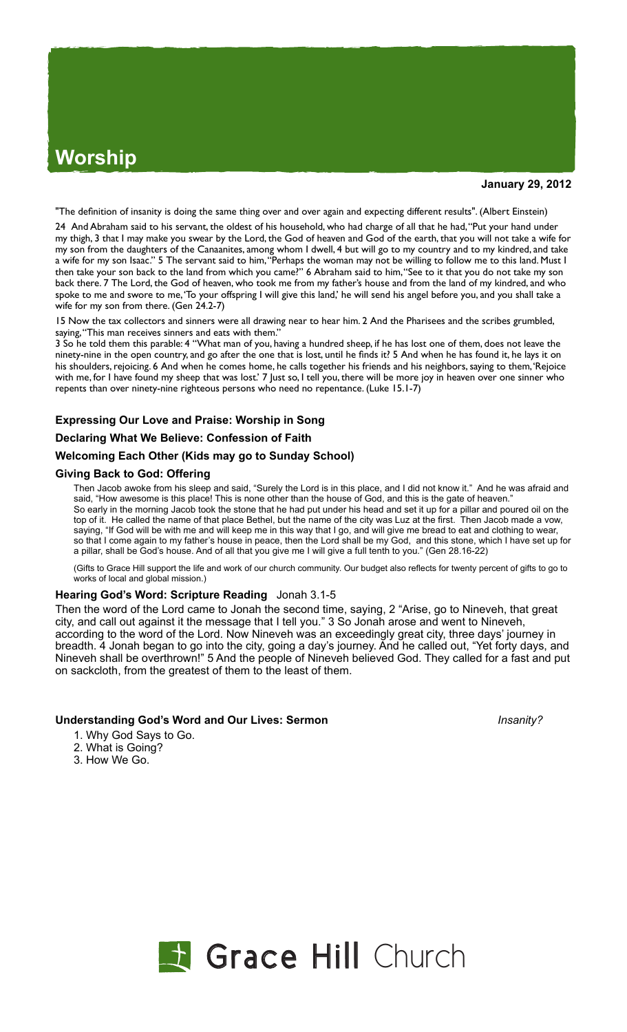# **Worship**

**January 29, 2012**

"The definition of insanity is doing the same thing over and over again and expecting different results". (Albert Einstein)

24 And Abraham said to his servant, the oldest of his household, who had charge of all that he had, "Put your hand under my thigh, 3 that I may make you swear by the Lord, the God of heaven and God of the earth, that you will not take a wife for my son from the daughters of the Canaanites, among whom I dwell, 4 but will go to my country and to my kindred, and take a wife for my son Isaac." 5 The servant said to him, "Perhaps the woman may not be willing to follow me to this land. Must I then take your son back to the land from which you came?" 6 Abraham said to him, "See to it that you do not take my son back there. 7 The Lord, the God of heaven, who took me from my father's house and from the land of my kindred, and who spoke to me and swore to me, 'To your offspring I will give this land,' he will send his angel before you, and you shall take a wife for my son from there. (Gen 24.2-7)

15 Now the tax collectors and sinners were all drawing near to hear him. 2 And the Pharisees and the scribes grumbled, saying, "This man receives sinners and eats with them.'

3 So he told them this parable: 4 "What man of you, having a hundred sheep, if he has lost one of them, does not leave the ninety-nine in the open country, and go after the one that is lost, until he finds it? 5 And when he has found it, he lays it on his shoulders, rejoicing. 6 And when he comes home, he calls together his friends and his neighbors, saying to them, 'Rejoice with me, for I have found my sheep that was lost.' 7 Just so, I tell you, there will be more joy in heaven over one sinner who repents than over ninety-nine righteous persons who need no repentance. (Luke 15.1-7)

# **Expressing Our Love and Praise: Worship in Song**

## **Declaring What We Believe: Confession of Faith**

## **Welcoming Each Other (Kids may go to Sunday School)**

#### **Giving Back to God: Offering**

Then Jacob awoke from his sleep and said, "Surely the Lord is in this place, and I did not know it." And he was afraid and said, "How awesome is this place! This is none other than the house of God, and this is the gate of heaven. So early in the morning Jacob took the stone that he had put under his head and set it up for a pillar and poured oil on the top of it. He called the name of that place Bethel, but the name of the city was Luz at the first. Then Jacob made a vow, saying, "If God will be with me and will keep me in this way that I go, and will give me bread to eat and clothing to wear, so that I come again to my father's house in peace, then the Lord shall be my God, and this stone, which I have set up for a pillar, shall be God's house. And of all that you give me I will give a full tenth to you." (Gen 28.16-22)

(Gifts to Grace Hill support the life and work of our church community. Our budget also reflects for twenty percent of gifts to go to works of local and global mission.)

## **Hearing God's Word: Scripture Reading** Jonah 3.1-5

Then the word of the Lord came to Jonah the second time, saying, 2 "Arise, go to Nineveh, that great city, and call out against it the message that I tell you." 3 So Jonah arose and went to Nineveh, according to the word of the Lord. Now Nineveh was an exceedingly great city, three days' journey in breadth. 4 Jonah began to go into the city, going a day's journey. And he called out, "Yet forty days, and Nineveh shall be overthrown!" 5 And the people of Nineveh believed God. They called for a fast and put on sackcloth, from the greatest of them to the least of them.

## **Understanding God's Word and Our Lives: Sermon** *Insanity?*

- 1. Why God Says to Go.
- 2. What is Going?
- 3. How We Go.